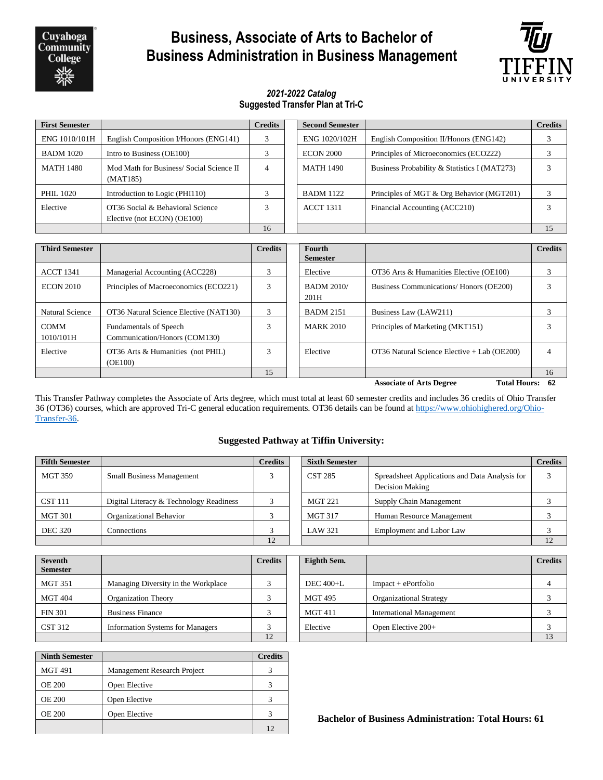Cuyahoga **Community College** 

# **Business, Associate of Arts to Bachelor of Business Administration in Business Management**



### *2021-2022 Catalog* **Suggested Transfer Plan at Tri-C**

| <b>First Semester</b>                                    |                                                                 | <b>Credits</b>                                         | <b>Second Semester</b>                                        |                                              | <b>Credits</b> |
|----------------------------------------------------------|-----------------------------------------------------------------|--------------------------------------------------------|---------------------------------------------------------------|----------------------------------------------|----------------|
| ENG 1010/101H                                            | English Composition I/Honors (ENG141)                           | 3                                                      | ENG 1020/102H                                                 | English Composition II/Honors (ENG142)       | 3              |
| <b>BADM 1020</b>                                         | Intro to Business (OE100)                                       | 3                                                      | <b>ECON 2000</b>                                              | Principles of Microeconomics (ECO222)        | 3              |
| <b>MATH 1480</b>                                         | Mod Math for Business/ Social Science II<br>(MAT185)            | $\overline{4}$                                         | <b>MATH 1490</b>                                              | Business Probability & Statistics I (MAT273) | 3              |
| PHIL 1020                                                | Introduction to Logic (PHI110)                                  | 3                                                      | <b>BADM 1122</b><br>Principles of MGT & Org Behavior (MGT201) |                                              | 3              |
| Elective                                                 | OT36 Social & Behavioral Science<br>Elective (not ECON) (OE100) | 3<br><b>ACCT 1311</b><br>Financial Accounting (ACC210) |                                                               |                                              | 3              |
|                                                          |                                                                 | 16                                                     |                                                               |                                              | 15             |
| <b>Credits</b><br><b>Third Semester</b><br><b>Fourth</b> |                                                                 |                                                        |                                                               |                                              | <b>Credits</b> |
|                                                          |                                                                 |                                                        | <b>Semester</b>                                               |                                              |                |
| <b>ACCT 1341</b>                                         | Managerial Accounting (ACC228)                                  | 3                                                      | Elective                                                      | OT36 Arts & Humanities Elective (OE100)      | 3              |
| <b>ECON 2010</b>                                         | Principles of Macroeconomics (ECO221)                           | 3                                                      | <b>BADM 2010/</b><br>201H                                     | Business Communications/ Honors (OE200)      | 3              |
| <b>Natural Science</b>                                   | OT36 Natural Science Elective (NAT130)                          | 3                                                      | <b>BADM 2151</b><br>Business Law (LAW211)                     |                                              | 3              |
| <b>COMM</b><br>1010/101H                                 | Fundamentals of Speech<br>Communication/Honors (COM130)         | 3                                                      | <b>MARK 2010</b>                                              | Principles of Marketing (MKT151)             | 3              |
| Elective                                                 | OT36 Arts & Humanities (not PHIL)<br>(OE100)                    | 3                                                      | Elective                                                      | OT36 Natural Science Elective + Lab (OE200)  | 4              |
|                                                          |                                                                 | 15                                                     |                                                               |                                              | 16             |
|                                                          |                                                                 |                                                        |                                                               |                                              |                |

This Transfer Pathway completes the Associate of Arts degree, which must total at least 60 semester credits and includes 36 credits of Ohio Transfer 36 (OT36) courses, which are approved Tri-C general education requirements. OT36 details can be found a[t https://www.ohiohighered.org/Ohio-](https://www.ohiohighered.org/Ohio-Transfer-36)[Transfer-36.](https://www.ohiohighered.org/Ohio-Transfer-36)

#### **Suggested Pathway at Tiffin University:**

| <b>Fifth Semester</b> |                                         | <b>Credits</b> | <b>Sixth Semester</b> |                                                                   | <b>Credits</b> |
|-----------------------|-----------------------------------------|----------------|-----------------------|-------------------------------------------------------------------|----------------|
| <b>MGT 359</b>        | <b>Small Business Management</b>        |                | <b>CST 285</b>        | Spreadsheet Applications and Data Analysis for<br>Decision Making |                |
| <b>CST 111</b>        | Digital Literacy & Technology Readiness |                | <b>MGT 221</b>        | Supply Chain Management                                           |                |
| <b>MGT 301</b>        | Organizational Behavior                 |                | <b>MGT 317</b>        | Human Resource Management                                         |                |
| <b>DEC 320</b>        | Connections                             |                | <b>LAW 321</b>        | Employment and Labor Law                                          |                |
|                       |                                         | 12             |                       |                                                                   | 12             |

| <b>Seventh</b><br><b>Semester</b> |                                         | <b>Credits</b> | Eighth Sem.    |                                 | <b>Credits</b> |
|-----------------------------------|-----------------------------------------|----------------|----------------|---------------------------------|----------------|
| <b>MGT 351</b>                    | Managing Diversity in the Workplace     |                | DEC 400+L      | $Impack + ePortlolio$           |                |
| <b>MGT 404</b>                    | <b>Organization Theory</b>              |                | <b>MGT 495</b> | <b>Organizational Strategy</b>  |                |
| <b>FIN 301</b>                    | <b>Business Finance</b>                 |                | <b>MGT 411</b> | <b>International Management</b> |                |
| <b>CST 312</b>                    | <b>Information Systems for Managers</b> |                | Elective       | Open Elective $200+$            |                |
|                                   |                                         |                |                |                                 |                |

| <b>Ninth Semester</b> |                             | <b>Credits</b> |
|-----------------------|-----------------------------|----------------|
| <b>MGT 491</b>        | Management Research Project |                |
| <b>OE 200</b>         | Open Elective               |                |
| <b>OE 200</b>         | Open Elective               | 3              |
| <b>OE 200</b>         | Open Elective               |                |
|                       |                             | 12             |

**Bachelor of Business Administration: Total Hours: 61**